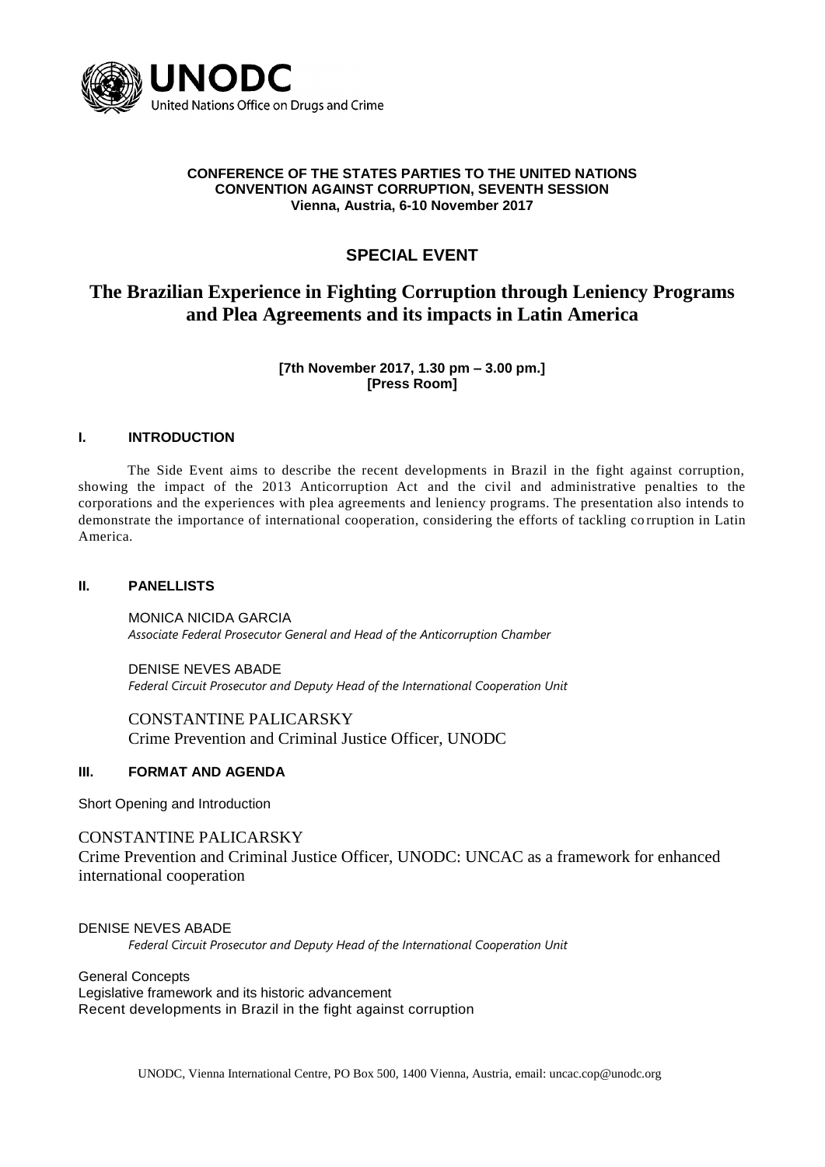

#### **CONFERENCE OF THE STATES PARTIES TO THE UNITED NATIONS CONVENTION AGAINST CORRUPTION, SEVENTH SESSION Vienna, Austria, 6-10 November 2017**

## **SPECIAL EVENT**

# **The Brazilian Experience in Fighting Corruption through Leniency Programs and Plea Agreements and its impacts in Latin America**

**[7th November 2017, 1.30 pm – 3.00 pm.] [Press Room]**

#### **I. INTRODUCTION**

The Side Event aims to describe the recent developments in Brazil in the fight against corruption, showing the impact of the 2013 Anticorruption Act and the civil and administrative penalties to the corporations and the experiences with plea agreements and leniency programs. The presentation also intends to demonstrate the importance of international cooperation, considering the efforts of tackling co rruption in Latin America.

#### **II. PANELLISTS**

MONICA NICIDA GARCIA *Associate Federal Prosecutor General and Head of the Anticorruption Chamber*

DENISE NEVES ABADE *Federal Circuit Prosecutor and Deputy Head of the International Cooperation Unit*

CONSTANTINE PALICARSKY Crime Prevention and Criminal Justice Officer, UNODC

#### **III. FORMAT AND AGENDA**

Short Opening and Introduction

## CONSTANTINE PALICARSKY

Crime Prevention and Criminal Justice Officer, UNODC: UNCAC as a framework for enhanced international cooperation

DENISE NEVES ABADE

*Federal Circuit Prosecutor and Deputy Head of the International Cooperation Unit*

General Concepts Legislative framework and its historic advancement Recent developments in Brazil in the fight against corruption